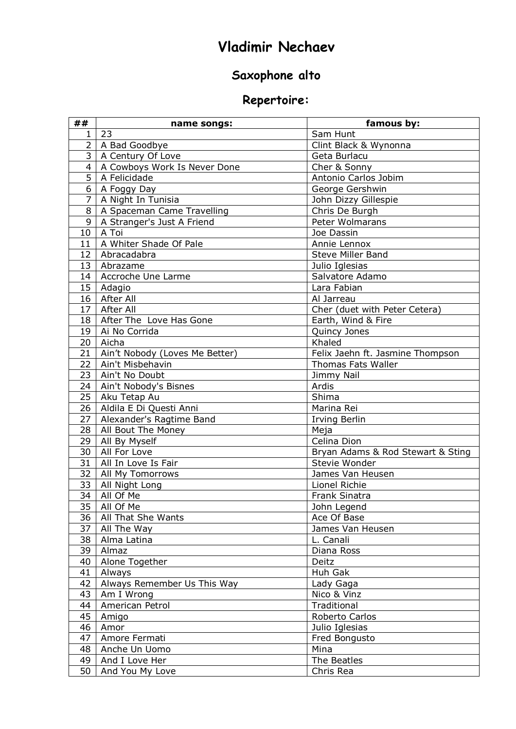## **Vladimir Nechaev**

## **Saxophone alto**

## **Repertoire:**

| 23<br>Sam Hunt<br>$\mathbf{1}$<br>$\overline{2}$<br>A Bad Goodbye<br>Clint Black & Wynonna<br>ِس<br>A Century Of Love<br>Geta Burlacu<br>A Cowboys Work Is Never Done<br>$\overline{4}$<br>Cher & Sonny<br>$\overline{5}$<br>Antonio Carlos Jobim<br>A Felicidade<br>6<br>George Gershwin<br>A Foggy Day<br>$\overline{7}$<br>A Night In Tunisia<br>John Dizzy Gillespie<br>8<br>A Spaceman Came Travelling<br>Chris De Burgh<br>9<br>A Stranger's Just A Friend<br>Peter Wolmarans<br>A Toi<br>10<br>Joe Dassin<br>A Whiter Shade Of Pale<br>11<br>Annie Lennox<br>Abracadabra<br>12<br><b>Steve Miller Band</b><br>13<br>Abrazame<br>Julio Iglesias<br>Accroche Une Larme<br>Salvatore Adamo<br>14<br>15<br>Adagio<br>Lara Fabian<br>After All<br>16<br>Al Jarreau<br>17<br>After All<br>Cher (duet with Peter Cetera)<br>18<br>After The Love Has Gone<br>Earth, Wind & Fire<br>19<br>Ai No Corrida<br>Quincy Jones<br>Khaled<br>Aicha<br>20<br>Felix Jaehn ft. Jasmine Thompson<br>21<br>Ain't Nobody (Loves Me Better)<br>22<br>Ain't Misbehavin<br><b>Thomas Fats Waller</b><br>23<br>Ain't No Doubt<br>Jimmy Nail<br>24<br>Ain't Nobody's Bisnes<br>Ardis<br>25<br>Shima<br>Aku Tetap Au<br>26<br>Aldila E Di Questi Anni<br>Marina Rei<br>Alexander's Ragtime Band<br>27<br><b>Irving Berlin</b><br>28<br>All Bout The Money<br>Meja<br>29<br>All By Myself<br>Celina Dion<br>30<br>All For Love<br>Bryan Adams & Rod Stewart & Sting<br>31<br>All In Love Is Fair<br>Stevie Wonder<br>32<br>All My Tomorrows<br>James Van Heusen<br>33<br>All Night Long<br>Lionel Richie<br>34<br>All Of Me<br>Frank Sinatra<br>$\overline{35}$<br>All Of Me<br>John Legend<br>36<br>All That She Wants<br>Ace Of Base<br>37<br>All The Way<br>James Van Heusen<br>L. Canali<br>38<br>Alma Latina<br>39<br>Almaz<br>Diana Ross<br>40<br>Alone Together<br>Deitz<br>41<br>Huh Gak<br>Always<br>Always Remember Us This Way<br>42<br>Lady Gaga<br>43<br>Nico & Vinz<br>Am I Wrong<br>Traditional<br>44<br>American Petrol<br>45<br>Amigo<br>Roberto Carlos<br>46<br>Amor<br>Julio Iglesias<br>47<br>Amore Fermati<br>Fred Bongusto<br>Mina<br>48<br>Anche Un Uomo<br>The Beatles<br>49<br>And I Love Her | ## | name songs:     | famous by: |
|--------------------------------------------------------------------------------------------------------------------------------------------------------------------------------------------------------------------------------------------------------------------------------------------------------------------------------------------------------------------------------------------------------------------------------------------------------------------------------------------------------------------------------------------------------------------------------------------------------------------------------------------------------------------------------------------------------------------------------------------------------------------------------------------------------------------------------------------------------------------------------------------------------------------------------------------------------------------------------------------------------------------------------------------------------------------------------------------------------------------------------------------------------------------------------------------------------------------------------------------------------------------------------------------------------------------------------------------------------------------------------------------------------------------------------------------------------------------------------------------------------------------------------------------------------------------------------------------------------------------------------------------------------------------------------------------------------------------------------------------------------------------------------------------------------------------------------------------------------------------------------------------------------------------------------------------------------------------------------------------------------------------------------------------------------------------------------------------------------------------------------------------------------------------------------------------------|----|-----------------|------------|
|                                                                                                                                                                                                                                                                                                                                                                                                                                                                                                                                                                                                                                                                                                                                                                                                                                                                                                                                                                                                                                                                                                                                                                                                                                                                                                                                                                                                                                                                                                                                                                                                                                                                                                                                                                                                                                                                                                                                                                                                                                                                                                                                                                                                  |    |                 |            |
|                                                                                                                                                                                                                                                                                                                                                                                                                                                                                                                                                                                                                                                                                                                                                                                                                                                                                                                                                                                                                                                                                                                                                                                                                                                                                                                                                                                                                                                                                                                                                                                                                                                                                                                                                                                                                                                                                                                                                                                                                                                                                                                                                                                                  |    |                 |            |
|                                                                                                                                                                                                                                                                                                                                                                                                                                                                                                                                                                                                                                                                                                                                                                                                                                                                                                                                                                                                                                                                                                                                                                                                                                                                                                                                                                                                                                                                                                                                                                                                                                                                                                                                                                                                                                                                                                                                                                                                                                                                                                                                                                                                  |    |                 |            |
|                                                                                                                                                                                                                                                                                                                                                                                                                                                                                                                                                                                                                                                                                                                                                                                                                                                                                                                                                                                                                                                                                                                                                                                                                                                                                                                                                                                                                                                                                                                                                                                                                                                                                                                                                                                                                                                                                                                                                                                                                                                                                                                                                                                                  |    |                 |            |
|                                                                                                                                                                                                                                                                                                                                                                                                                                                                                                                                                                                                                                                                                                                                                                                                                                                                                                                                                                                                                                                                                                                                                                                                                                                                                                                                                                                                                                                                                                                                                                                                                                                                                                                                                                                                                                                                                                                                                                                                                                                                                                                                                                                                  |    |                 |            |
|                                                                                                                                                                                                                                                                                                                                                                                                                                                                                                                                                                                                                                                                                                                                                                                                                                                                                                                                                                                                                                                                                                                                                                                                                                                                                                                                                                                                                                                                                                                                                                                                                                                                                                                                                                                                                                                                                                                                                                                                                                                                                                                                                                                                  |    |                 |            |
|                                                                                                                                                                                                                                                                                                                                                                                                                                                                                                                                                                                                                                                                                                                                                                                                                                                                                                                                                                                                                                                                                                                                                                                                                                                                                                                                                                                                                                                                                                                                                                                                                                                                                                                                                                                                                                                                                                                                                                                                                                                                                                                                                                                                  |    |                 |            |
|                                                                                                                                                                                                                                                                                                                                                                                                                                                                                                                                                                                                                                                                                                                                                                                                                                                                                                                                                                                                                                                                                                                                                                                                                                                                                                                                                                                                                                                                                                                                                                                                                                                                                                                                                                                                                                                                                                                                                                                                                                                                                                                                                                                                  |    |                 |            |
|                                                                                                                                                                                                                                                                                                                                                                                                                                                                                                                                                                                                                                                                                                                                                                                                                                                                                                                                                                                                                                                                                                                                                                                                                                                                                                                                                                                                                                                                                                                                                                                                                                                                                                                                                                                                                                                                                                                                                                                                                                                                                                                                                                                                  |    |                 |            |
|                                                                                                                                                                                                                                                                                                                                                                                                                                                                                                                                                                                                                                                                                                                                                                                                                                                                                                                                                                                                                                                                                                                                                                                                                                                                                                                                                                                                                                                                                                                                                                                                                                                                                                                                                                                                                                                                                                                                                                                                                                                                                                                                                                                                  |    |                 |            |
|                                                                                                                                                                                                                                                                                                                                                                                                                                                                                                                                                                                                                                                                                                                                                                                                                                                                                                                                                                                                                                                                                                                                                                                                                                                                                                                                                                                                                                                                                                                                                                                                                                                                                                                                                                                                                                                                                                                                                                                                                                                                                                                                                                                                  |    |                 |            |
|                                                                                                                                                                                                                                                                                                                                                                                                                                                                                                                                                                                                                                                                                                                                                                                                                                                                                                                                                                                                                                                                                                                                                                                                                                                                                                                                                                                                                                                                                                                                                                                                                                                                                                                                                                                                                                                                                                                                                                                                                                                                                                                                                                                                  |    |                 |            |
|                                                                                                                                                                                                                                                                                                                                                                                                                                                                                                                                                                                                                                                                                                                                                                                                                                                                                                                                                                                                                                                                                                                                                                                                                                                                                                                                                                                                                                                                                                                                                                                                                                                                                                                                                                                                                                                                                                                                                                                                                                                                                                                                                                                                  |    |                 |            |
|                                                                                                                                                                                                                                                                                                                                                                                                                                                                                                                                                                                                                                                                                                                                                                                                                                                                                                                                                                                                                                                                                                                                                                                                                                                                                                                                                                                                                                                                                                                                                                                                                                                                                                                                                                                                                                                                                                                                                                                                                                                                                                                                                                                                  |    |                 |            |
|                                                                                                                                                                                                                                                                                                                                                                                                                                                                                                                                                                                                                                                                                                                                                                                                                                                                                                                                                                                                                                                                                                                                                                                                                                                                                                                                                                                                                                                                                                                                                                                                                                                                                                                                                                                                                                                                                                                                                                                                                                                                                                                                                                                                  |    |                 |            |
|                                                                                                                                                                                                                                                                                                                                                                                                                                                                                                                                                                                                                                                                                                                                                                                                                                                                                                                                                                                                                                                                                                                                                                                                                                                                                                                                                                                                                                                                                                                                                                                                                                                                                                                                                                                                                                                                                                                                                                                                                                                                                                                                                                                                  |    |                 |            |
|                                                                                                                                                                                                                                                                                                                                                                                                                                                                                                                                                                                                                                                                                                                                                                                                                                                                                                                                                                                                                                                                                                                                                                                                                                                                                                                                                                                                                                                                                                                                                                                                                                                                                                                                                                                                                                                                                                                                                                                                                                                                                                                                                                                                  |    |                 |            |
|                                                                                                                                                                                                                                                                                                                                                                                                                                                                                                                                                                                                                                                                                                                                                                                                                                                                                                                                                                                                                                                                                                                                                                                                                                                                                                                                                                                                                                                                                                                                                                                                                                                                                                                                                                                                                                                                                                                                                                                                                                                                                                                                                                                                  |    |                 |            |
|                                                                                                                                                                                                                                                                                                                                                                                                                                                                                                                                                                                                                                                                                                                                                                                                                                                                                                                                                                                                                                                                                                                                                                                                                                                                                                                                                                                                                                                                                                                                                                                                                                                                                                                                                                                                                                                                                                                                                                                                                                                                                                                                                                                                  |    |                 |            |
|                                                                                                                                                                                                                                                                                                                                                                                                                                                                                                                                                                                                                                                                                                                                                                                                                                                                                                                                                                                                                                                                                                                                                                                                                                                                                                                                                                                                                                                                                                                                                                                                                                                                                                                                                                                                                                                                                                                                                                                                                                                                                                                                                                                                  |    |                 |            |
|                                                                                                                                                                                                                                                                                                                                                                                                                                                                                                                                                                                                                                                                                                                                                                                                                                                                                                                                                                                                                                                                                                                                                                                                                                                                                                                                                                                                                                                                                                                                                                                                                                                                                                                                                                                                                                                                                                                                                                                                                                                                                                                                                                                                  |    |                 |            |
|                                                                                                                                                                                                                                                                                                                                                                                                                                                                                                                                                                                                                                                                                                                                                                                                                                                                                                                                                                                                                                                                                                                                                                                                                                                                                                                                                                                                                                                                                                                                                                                                                                                                                                                                                                                                                                                                                                                                                                                                                                                                                                                                                                                                  |    |                 |            |
|                                                                                                                                                                                                                                                                                                                                                                                                                                                                                                                                                                                                                                                                                                                                                                                                                                                                                                                                                                                                                                                                                                                                                                                                                                                                                                                                                                                                                                                                                                                                                                                                                                                                                                                                                                                                                                                                                                                                                                                                                                                                                                                                                                                                  |    |                 |            |
|                                                                                                                                                                                                                                                                                                                                                                                                                                                                                                                                                                                                                                                                                                                                                                                                                                                                                                                                                                                                                                                                                                                                                                                                                                                                                                                                                                                                                                                                                                                                                                                                                                                                                                                                                                                                                                                                                                                                                                                                                                                                                                                                                                                                  |    |                 |            |
|                                                                                                                                                                                                                                                                                                                                                                                                                                                                                                                                                                                                                                                                                                                                                                                                                                                                                                                                                                                                                                                                                                                                                                                                                                                                                                                                                                                                                                                                                                                                                                                                                                                                                                                                                                                                                                                                                                                                                                                                                                                                                                                                                                                                  |    |                 |            |
|                                                                                                                                                                                                                                                                                                                                                                                                                                                                                                                                                                                                                                                                                                                                                                                                                                                                                                                                                                                                                                                                                                                                                                                                                                                                                                                                                                                                                                                                                                                                                                                                                                                                                                                                                                                                                                                                                                                                                                                                                                                                                                                                                                                                  |    |                 |            |
|                                                                                                                                                                                                                                                                                                                                                                                                                                                                                                                                                                                                                                                                                                                                                                                                                                                                                                                                                                                                                                                                                                                                                                                                                                                                                                                                                                                                                                                                                                                                                                                                                                                                                                                                                                                                                                                                                                                                                                                                                                                                                                                                                                                                  |    |                 |            |
|                                                                                                                                                                                                                                                                                                                                                                                                                                                                                                                                                                                                                                                                                                                                                                                                                                                                                                                                                                                                                                                                                                                                                                                                                                                                                                                                                                                                                                                                                                                                                                                                                                                                                                                                                                                                                                                                                                                                                                                                                                                                                                                                                                                                  |    |                 |            |
|                                                                                                                                                                                                                                                                                                                                                                                                                                                                                                                                                                                                                                                                                                                                                                                                                                                                                                                                                                                                                                                                                                                                                                                                                                                                                                                                                                                                                                                                                                                                                                                                                                                                                                                                                                                                                                                                                                                                                                                                                                                                                                                                                                                                  |    |                 |            |
|                                                                                                                                                                                                                                                                                                                                                                                                                                                                                                                                                                                                                                                                                                                                                                                                                                                                                                                                                                                                                                                                                                                                                                                                                                                                                                                                                                                                                                                                                                                                                                                                                                                                                                                                                                                                                                                                                                                                                                                                                                                                                                                                                                                                  |    |                 |            |
|                                                                                                                                                                                                                                                                                                                                                                                                                                                                                                                                                                                                                                                                                                                                                                                                                                                                                                                                                                                                                                                                                                                                                                                                                                                                                                                                                                                                                                                                                                                                                                                                                                                                                                                                                                                                                                                                                                                                                                                                                                                                                                                                                                                                  |    |                 |            |
|                                                                                                                                                                                                                                                                                                                                                                                                                                                                                                                                                                                                                                                                                                                                                                                                                                                                                                                                                                                                                                                                                                                                                                                                                                                                                                                                                                                                                                                                                                                                                                                                                                                                                                                                                                                                                                                                                                                                                                                                                                                                                                                                                                                                  |    |                 |            |
|                                                                                                                                                                                                                                                                                                                                                                                                                                                                                                                                                                                                                                                                                                                                                                                                                                                                                                                                                                                                                                                                                                                                                                                                                                                                                                                                                                                                                                                                                                                                                                                                                                                                                                                                                                                                                                                                                                                                                                                                                                                                                                                                                                                                  |    |                 |            |
|                                                                                                                                                                                                                                                                                                                                                                                                                                                                                                                                                                                                                                                                                                                                                                                                                                                                                                                                                                                                                                                                                                                                                                                                                                                                                                                                                                                                                                                                                                                                                                                                                                                                                                                                                                                                                                                                                                                                                                                                                                                                                                                                                                                                  |    |                 |            |
|                                                                                                                                                                                                                                                                                                                                                                                                                                                                                                                                                                                                                                                                                                                                                                                                                                                                                                                                                                                                                                                                                                                                                                                                                                                                                                                                                                                                                                                                                                                                                                                                                                                                                                                                                                                                                                                                                                                                                                                                                                                                                                                                                                                                  |    |                 |            |
|                                                                                                                                                                                                                                                                                                                                                                                                                                                                                                                                                                                                                                                                                                                                                                                                                                                                                                                                                                                                                                                                                                                                                                                                                                                                                                                                                                                                                                                                                                                                                                                                                                                                                                                                                                                                                                                                                                                                                                                                                                                                                                                                                                                                  |    |                 |            |
|                                                                                                                                                                                                                                                                                                                                                                                                                                                                                                                                                                                                                                                                                                                                                                                                                                                                                                                                                                                                                                                                                                                                                                                                                                                                                                                                                                                                                                                                                                                                                                                                                                                                                                                                                                                                                                                                                                                                                                                                                                                                                                                                                                                                  |    |                 |            |
|                                                                                                                                                                                                                                                                                                                                                                                                                                                                                                                                                                                                                                                                                                                                                                                                                                                                                                                                                                                                                                                                                                                                                                                                                                                                                                                                                                                                                                                                                                                                                                                                                                                                                                                                                                                                                                                                                                                                                                                                                                                                                                                                                                                                  |    |                 |            |
|                                                                                                                                                                                                                                                                                                                                                                                                                                                                                                                                                                                                                                                                                                                                                                                                                                                                                                                                                                                                                                                                                                                                                                                                                                                                                                                                                                                                                                                                                                                                                                                                                                                                                                                                                                                                                                                                                                                                                                                                                                                                                                                                                                                                  |    |                 |            |
|                                                                                                                                                                                                                                                                                                                                                                                                                                                                                                                                                                                                                                                                                                                                                                                                                                                                                                                                                                                                                                                                                                                                                                                                                                                                                                                                                                                                                                                                                                                                                                                                                                                                                                                                                                                                                                                                                                                                                                                                                                                                                                                                                                                                  |    |                 |            |
|                                                                                                                                                                                                                                                                                                                                                                                                                                                                                                                                                                                                                                                                                                                                                                                                                                                                                                                                                                                                                                                                                                                                                                                                                                                                                                                                                                                                                                                                                                                                                                                                                                                                                                                                                                                                                                                                                                                                                                                                                                                                                                                                                                                                  |    |                 |            |
|                                                                                                                                                                                                                                                                                                                                                                                                                                                                                                                                                                                                                                                                                                                                                                                                                                                                                                                                                                                                                                                                                                                                                                                                                                                                                                                                                                                                                                                                                                                                                                                                                                                                                                                                                                                                                                                                                                                                                                                                                                                                                                                                                                                                  |    |                 |            |
|                                                                                                                                                                                                                                                                                                                                                                                                                                                                                                                                                                                                                                                                                                                                                                                                                                                                                                                                                                                                                                                                                                                                                                                                                                                                                                                                                                                                                                                                                                                                                                                                                                                                                                                                                                                                                                                                                                                                                                                                                                                                                                                                                                                                  |    |                 |            |
|                                                                                                                                                                                                                                                                                                                                                                                                                                                                                                                                                                                                                                                                                                                                                                                                                                                                                                                                                                                                                                                                                                                                                                                                                                                                                                                                                                                                                                                                                                                                                                                                                                                                                                                                                                                                                                                                                                                                                                                                                                                                                                                                                                                                  |    |                 |            |
|                                                                                                                                                                                                                                                                                                                                                                                                                                                                                                                                                                                                                                                                                                                                                                                                                                                                                                                                                                                                                                                                                                                                                                                                                                                                                                                                                                                                                                                                                                                                                                                                                                                                                                                                                                                                                                                                                                                                                                                                                                                                                                                                                                                                  |    |                 |            |
|                                                                                                                                                                                                                                                                                                                                                                                                                                                                                                                                                                                                                                                                                                                                                                                                                                                                                                                                                                                                                                                                                                                                                                                                                                                                                                                                                                                                                                                                                                                                                                                                                                                                                                                                                                                                                                                                                                                                                                                                                                                                                                                                                                                                  |    |                 |            |
|                                                                                                                                                                                                                                                                                                                                                                                                                                                                                                                                                                                                                                                                                                                                                                                                                                                                                                                                                                                                                                                                                                                                                                                                                                                                                                                                                                                                                                                                                                                                                                                                                                                                                                                                                                                                                                                                                                                                                                                                                                                                                                                                                                                                  |    |                 |            |
|                                                                                                                                                                                                                                                                                                                                                                                                                                                                                                                                                                                                                                                                                                                                                                                                                                                                                                                                                                                                                                                                                                                                                                                                                                                                                                                                                                                                                                                                                                                                                                                                                                                                                                                                                                                                                                                                                                                                                                                                                                                                                                                                                                                                  |    |                 |            |
|                                                                                                                                                                                                                                                                                                                                                                                                                                                                                                                                                                                                                                                                                                                                                                                                                                                                                                                                                                                                                                                                                                                                                                                                                                                                                                                                                                                                                                                                                                                                                                                                                                                                                                                                                                                                                                                                                                                                                                                                                                                                                                                                                                                                  |    |                 |            |
|                                                                                                                                                                                                                                                                                                                                                                                                                                                                                                                                                                                                                                                                                                                                                                                                                                                                                                                                                                                                                                                                                                                                                                                                                                                                                                                                                                                                                                                                                                                                                                                                                                                                                                                                                                                                                                                                                                                                                                                                                                                                                                                                                                                                  | 50 | And You My Love | Chris Rea  |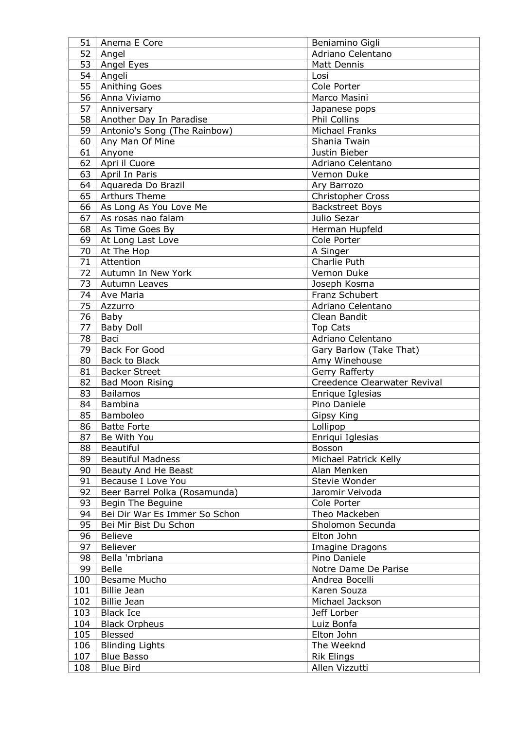| 51  | Anema E Core                  | Beniamino Gigli              |
|-----|-------------------------------|------------------------------|
| 52  | Angel                         | Adriano Celentano            |
| 53  | Angel Eyes                    | <b>Matt Dennis</b>           |
| 54  | Angeli                        | Losi                         |
| 55  | <b>Anithing Goes</b>          | Cole Porter                  |
| 56  | Anna Viviamo                  | Marco Masini                 |
| 57  | Anniversary                   | Japanese pops                |
| 58  | Another Day In Paradise       | Phil Collins                 |
| 59  | Antonio's Song (The Rainbow)  | Michael Franks               |
| 60  | Any Man Of Mine               | Shania Twain                 |
| 61  | Anyone                        | Justin Bieber                |
| 62  | Apri il Cuore                 | Adriano Celentano            |
| 63  |                               |                              |
|     | April In Paris                | Vernon Duke                  |
| 64  | Aquareda Do Brazil            | Ary Barrozo                  |
| 65  | <b>Arthurs Theme</b>          | Christopher Cross            |
| 66  | As Long As You Love Me        | <b>Backstreet Boys</b>       |
| 67  | As rosas nao falam            | Julio Sezar                  |
| 68  | As Time Goes By               | Herman Hupfeld               |
| 69  | At Long Last Love             | Cole Porter                  |
| 70  | At The Hop                    | A Singer                     |
| 71  | Attention                     | Charlie Puth                 |
| 72  | Autumn In New York            | Vernon Duke                  |
| 73  | Autumn Leaves                 | Joseph Kosma                 |
| 74  | Ave Maria                     | Franz Schubert               |
| 75  | Azzurro                       | Adriano Celentano            |
| 76  | Baby                          | Clean Bandit                 |
| 77  | <b>Baby Doll</b>              | <b>Top Cats</b>              |
| 78  | Baci                          | Adriano Celentano            |
| 79  | <b>Back For Good</b>          | Gary Barlow (Take That)      |
| 80  | <b>Back to Black</b>          | Amy Winehouse                |
| 81  | <b>Backer Street</b>          | Gerry Rafferty               |
| 82  | <b>Bad Moon Rising</b>        | Creedence Clearwater Revival |
| 83  | <b>Bailamos</b>               | Enrique Iglesias             |
| 84  | Bambina                       | Pino Daniele                 |
| 85  | Bamboleo                      | Gipsy King                   |
| 86  | Batte Forte                   | Lollipop                     |
| 87  | Be With You                   | Enriqui Iglesias             |
| 88  | Beautiful                     | Bosson                       |
| 89  | <b>Beautiful Madness</b>      | Michael Patrick Kelly        |
| 90  | Beauty And He Beast           | Alan Menken                  |
| 91  | Because I Love You            | Stevie Wonder                |
| 92  | Beer Barrel Polka (Rosamunda) | Jaromir Veivoda              |
| 93  | Begin The Beguine             | Cole Porter                  |
| 94  | Bei Dir War Es Immer So Schon | Theo Mackeben                |
| 95  | Bei Mir Bist Du Schon         | Sholomon Secunda             |
| 96  | <b>Believe</b>                | Elton John                   |
| 97  | Believer                      | Imagine Dragons              |
| 98  | Bella 'mbriana                | Pino Daniele                 |
| 99  | <b>Belle</b>                  | Notre Dame De Parise         |
| 100 | Besame Mucho                  | Andrea Bocelli               |
| 101 | <b>Billie Jean</b>            | Karen Souza                  |
| 102 | <b>Billie Jean</b>            | Michael Jackson              |
| 103 | <b>Black Ice</b>              | Jeff Lorber                  |
| 104 | <b>Black Orpheus</b>          | Luiz Bonfa                   |
| 105 | Blessed                       | Elton John                   |
| 106 | <b>Blinding Lights</b>        | The Weeknd                   |
| 107 | <b>Blue Basso</b>             | <b>Rik Elings</b>            |
| 108 | <b>Blue Bird</b>              | Allen Vizzutti               |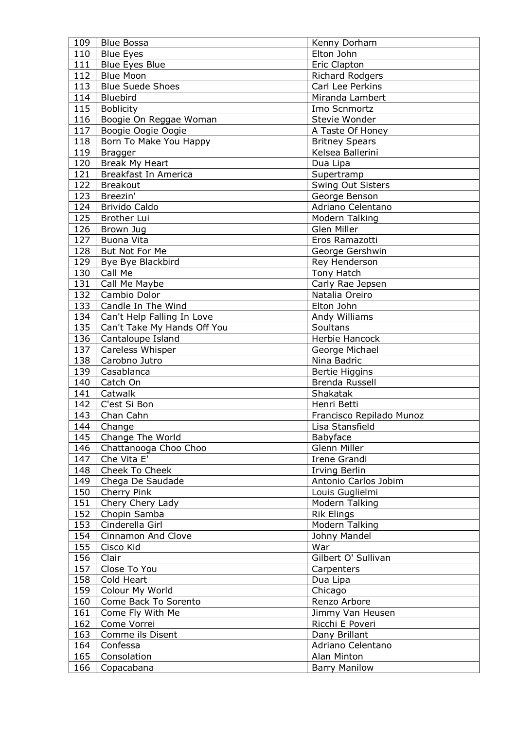| 109 | <b>Blue Bossa</b>           | Kenny Dorham             |
|-----|-----------------------------|--------------------------|
| 110 | <b>Blue Eyes</b>            | Elton John               |
| 111 | <b>Blue Eyes Blue</b>       | Eric Clapton             |
| 112 | <b>Blue Moon</b>            | Richard Rodgers          |
| 113 | <b>Blue Suede Shoes</b>     | Carl Lee Perkins         |
| 114 | Bluebird                    | Miranda Lambert          |
| 115 | <b>Boblicity</b>            | Imo Scnmortz             |
| 116 | Boogie On Reggae Woman      | Stevie Wonder            |
| 117 | Boogie Oogie Oogie          | A Taste Of Honey         |
| 118 | Born To Make You Happy      | <b>Britney Spears</b>    |
| 119 | <b>Bragger</b>              | Kelsea Ballerini         |
| 120 | Break My Heart              | Dua Lipa                 |
| 121 | Breakfast In America        | Supertramp               |
| 122 | <b>Breakout</b>             |                          |
|     | Breezin'                    | Swing Out Sisters        |
| 123 |                             | George Benson            |
| 124 | <b>Brivido Caldo</b>        | Adriano Celentano        |
| 125 | Brother Lui                 | Modern Talking           |
| 126 | Brown Jug                   | Glen Miller              |
| 127 | Buona Vita                  | Eros Ramazotti           |
| 128 | But Not For Me              | George Gershwin          |
| 129 | Bye Bye Blackbird           | Rey Henderson            |
| 130 | Call Me                     | Tony Hatch               |
| 131 | Call Me Maybe               | Carly Rae Jepsen         |
| 132 | Cambio Dolor                | Natalia Oreiro           |
| 133 | Candle In The Wind          | Elton John               |
| 134 | Can't Help Falling In Love  | Andy Williams            |
| 135 | Can't Take My Hands Off You | Soultans                 |
| 136 | Cantaloupe Island           | Herbie Hancock           |
| 137 | Careless Whisper            | George Michael           |
| 138 | Carobno Jutro               | Nina Badric              |
| 139 | Casablanca                  | <b>Bertie Higgins</b>    |
| 140 | Catch On                    | Brenda Russell           |
| 141 | Catwalk                     | Shakatak                 |
|     | 142   C'est Si Bon          | Henri Betti              |
| 143 | Chan Cahn                   | Francisco Repilado Munoz |
| 144 | Change                      | Lisa Stansfield          |
| 145 | Change The World            | Babyface                 |
| 146 | Chattanooga Choo Choo       | Glenn Miller             |
| 147 | Che Vita E'                 | Irene Grandi             |
| 148 | Cheek To Cheek              | Irving Berlin            |
| 149 | Chega De Saudade            | Antonio Carlos Jobim     |
| 150 | Cherry Pink                 | Louis Guglielmi          |
| 151 | Chery Chery Lady            | Modern Talking           |
| 152 | Chopin Samba                | <b>Rik Elings</b>        |
| 153 | Cinderella Girl             | Modern Talking           |
| 154 | Cinnamon And Clove          | Johny Mandel             |
| 155 | Cisco Kid                   | War                      |
| 156 | Clair                       | Gilbert O' Sullivan      |
| 157 | Close To You                | Carpenters               |
| 158 | Cold Heart                  | Dua Lipa                 |
| 159 | Colour My World             | Chicago                  |
| 160 | Come Back To Sorento        | Renzo Arbore             |
| 161 | Come Fly With Me            | Jimmy Van Heusen         |
| 162 | Come Vorrei                 | Ricchi E Poveri          |
| 163 | Comme ils Disent            | Dany Brillant            |
| 164 | Confessa                    | Adriano Celentano        |
| 165 | Consolation                 | Alan Minton              |
| 166 | Copacabana                  | <b>Barry Manilow</b>     |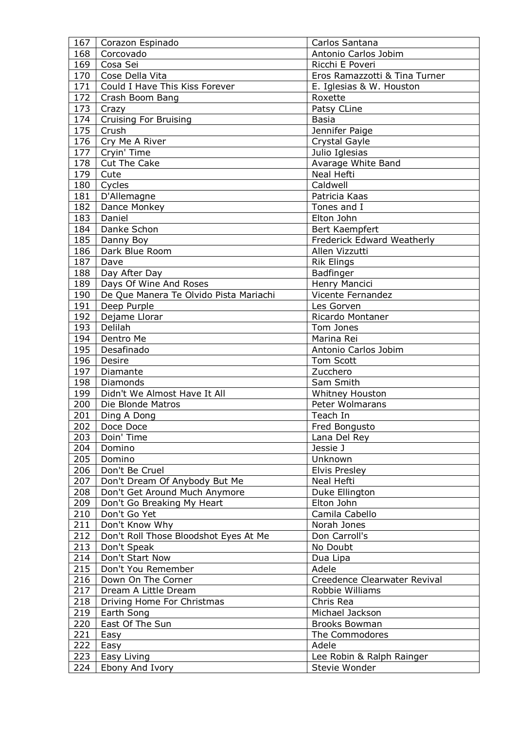| 167 | Corazon Espinado                       | Carlos Santana                |
|-----|----------------------------------------|-------------------------------|
| 168 | Corcovado                              | Antonio Carlos Jobim          |
| 169 | Cosa Sei                               | Ricchi E Poveri               |
| 170 | Cose Della Vita                        | Eros Ramazzotti & Tina Turner |
| 171 | Could I Have This Kiss Forever         | E. Iglesias & W. Houston      |
| 172 | Crash Boom Bang                        | Roxette                       |
| 173 | Crazy                                  | Patsy CLine                   |
| 174 | <b>Cruising For Bruising</b>           | <b>Basia</b>                  |
| 175 | Crush                                  | Jennifer Paige                |
| 176 | Cry Me A River                         | Crystal Gayle                 |
| 177 | Cryin' Time                            | Julio Iglesias                |
| 178 | Cut The Cake                           | Avarage White Band            |
| 179 | Cute                                   | Neal Hefti                    |
| 180 | Cycles                                 | Caldwell                      |
| 181 | D'Allemagne                            | Patricia Kaas                 |
| 182 |                                        | Tones and I                   |
|     | Dance Monkey<br>Daniel                 |                               |
| 183 |                                        | Elton John                    |
| 184 | Danke Schon                            | Bert Kaempfert                |
| 185 | Danny Boy                              | Frederick Edward Weatherly    |
| 186 | Dark Blue Room                         | Allen Vizzutti                |
| 187 | Dave                                   | <b>Rik Elings</b>             |
| 188 | Day After Day                          | Badfinger                     |
| 189 | Days Of Wine And Roses                 | Henry Mancici                 |
| 190 | De Que Manera Te Olvido Pista Mariachi | Vicente Fernandez             |
| 191 | Deep Purple                            | Les Gorven                    |
| 192 | Dejame Llorar                          | Ricardo Montaner              |
| 193 | Delilah                                | Tom Jones                     |
| 194 | Dentro Me                              | Marina Rei                    |
| 195 | Desafinado                             | Antonio Carlos Jobim          |
| 196 | Desire                                 | Tom Scott                     |
| 197 | Diamante                               | Zucchero                      |
| 198 | Diamonds                               | Sam Smith                     |
| 199 | Didn't We Almost Have It All           | Whitney Houston               |
| 200 | Die Blonde Matros                      | Peter Wolmarans               |
| 201 | Ding A Dong                            | Teach In                      |
|     | 202   Doce Doce                        | Fred Bongusto                 |
| 203 | Doin' Time                             | Lana Del Rey                  |
| 204 | Domino                                 | Jessie J                      |
| 205 | Domino                                 | Unknown                       |
| 206 | Don't Be Cruel                         | <b>Elvis Presley</b>          |
| 207 | Don't Dream Of Anybody But Me          | Neal Hefti                    |
| 208 | Don't Get Around Much Anymore          | Duke Ellington                |
| 209 | Don't Go Breaking My Heart             | Elton John                    |
| 210 | Don't Go Yet                           | Camila Cabello                |
| 211 | Don't Know Why                         | Norah Jones                   |
| 212 | Don't Roll Those Bloodshot Eyes At Me  | Don Carroll's                 |
| 213 | Don't Speak                            | No Doubt                      |
| 214 | Don't Start Now                        | Dua Lipa                      |
| 215 | Don't You Remember                     | Adele                         |
| 216 | Down On The Corner                     | Creedence Clearwater Revival  |
| 217 | Dream A Little Dream                   | Robbie Williams               |
| 218 | Driving Home For Christmas             | Chris Rea                     |
| 219 | Earth Song                             | Michael Jackson               |
| 220 | East Of The Sun                        | <b>Brooks Bowman</b>          |
| 221 | Easy                                   | The Commodores                |
| 222 | Easy                                   | Adele                         |
| 223 | Easy Living                            | Lee Robin & Ralph Rainger     |
| 224 | Ebony And Ivory                        | Stevie Wonder                 |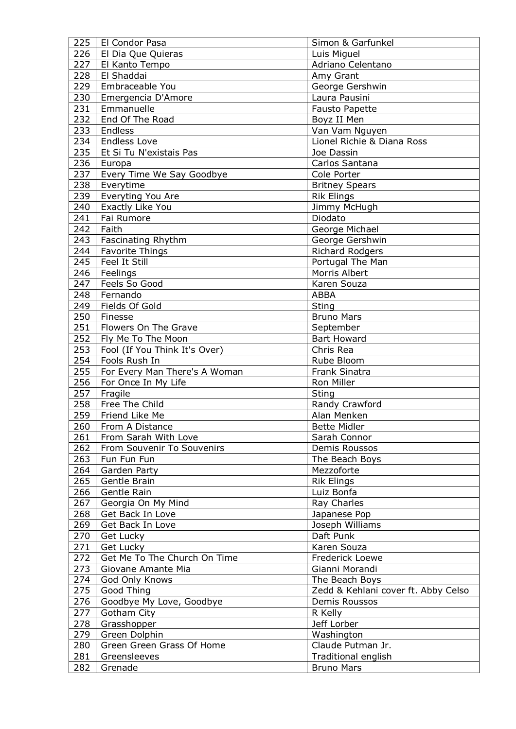| 225 | El Condor Pasa                         | Simon & Garfunkel                   |
|-----|----------------------------------------|-------------------------------------|
| 226 | El Dia Que Quieras                     | Luis Miguel                         |
| 227 | El Kanto Tempo                         | Adriano Celentano                   |
| 228 | El Shaddai                             | Amy Grant                           |
| 229 | Embraceable You                        | George Gershwin                     |
| 230 | Emergencia D'Amore                     | Laura Pausini                       |
| 231 | Emmanuelle                             | <b>Fausto Papette</b>               |
| 232 | End Of The Road                        | Boyz II Men                         |
| 233 | Endless                                | Van Vam Nguyen                      |
| 234 | <b>Endless Love</b>                    | Lionel Richie & Diana Ross          |
| 235 | Et Si Tu N'existais Pas                | Joe Dassin                          |
| 236 | Europa                                 | Carlos Santana                      |
| 237 | Every Time We Say Goodbye              | Cole Porter                         |
| 238 | Everytime                              | <b>Britney Spears</b>               |
| 239 | Everyting You Are                      | <b>Rik Elings</b>                   |
| 240 | Exactly Like You                       | Jimmy McHugh                        |
| 241 | Fai Rumore                             | Diodato                             |
| 242 | Faith                                  | George Michael                      |
| 243 | Fascinating Rhythm                     | George Gershwin                     |
| 244 | <b>Favorite Things</b>                 | <b>Richard Rodgers</b>              |
| 245 | <b>Feel It Still</b>                   | Portugal The Man                    |
| 246 | Feelings                               | Morris Albert                       |
| 247 | Feels So Good                          | Karen Souza                         |
| 248 | Fernando                               | <b>ABBA</b>                         |
| 249 | Fields Of Gold                         | Sting                               |
| 250 | Finesse                                | <b>Bruno Mars</b>                   |
| 251 | Flowers On The Grave                   | September                           |
| 252 | Fly Me To The Moon                     | <b>Bart Howard</b>                  |
| 253 | Fool (If You Think It's Over)          | Chris Rea                           |
| 254 | Fools Rush In                          | Rube Bloom                          |
| 255 | For Every Man There's A Woman          | <b>Frank Sinatra</b>                |
| 256 | For Once In My Life                    | Ron Miller                          |
| 257 | Fragile                                | Sting                               |
| 258 | Free The Child                         | Randy Crawford                      |
| 259 | Friend Like Me                         | Alan Menken                         |
| 260 | From A Distance                        | Bette Midler                        |
| 261 | From Sarah With Love                   | Sarah Connor                        |
| 262 | From Souvenir To Souvenirs             | Demis Roussos                       |
| 263 | Fun Fun Fun                            | The Beach Boys                      |
| 264 |                                        | Mezzoforte                          |
| 265 | Garden Party<br>Gentle Brain           | <b>Rik Elings</b>                   |
| 266 | Gentle Rain                            | Luiz Bonfa                          |
| 267 |                                        | Ray Charles                         |
| 268 | Georgia On My Mind<br>Get Back In Love | Japanese Pop                        |
| 269 | Get Back In Love                       |                                     |
|     |                                        | Joseph Williams                     |
| 270 | Get Lucky                              | Daft Punk                           |
| 271 | Get Lucky                              | Karen Souza                         |
| 272 | Get Me To The Church On Time           | Frederick Loewe                     |
| 273 | Giovane Amante Mia                     | Gianni Morandi                      |
| 274 | God Only Knows                         | The Beach Boys                      |
| 275 | Good Thing                             | Zedd & Kehlani cover ft. Abby Celso |
| 276 | Goodbye My Love, Goodbye               | Demis Roussos                       |
| 277 | Gotham City                            | R Kelly                             |
| 278 | Grasshopper                            | Jeff Lorber                         |
| 279 | Green Dolphin                          | Washington                          |
| 280 | Green Green Grass Of Home              | Claude Putman Jr.                   |
| 281 | Greensleeves                           | Traditional english                 |
| 282 | Grenade                                | <b>Bruno Mars</b>                   |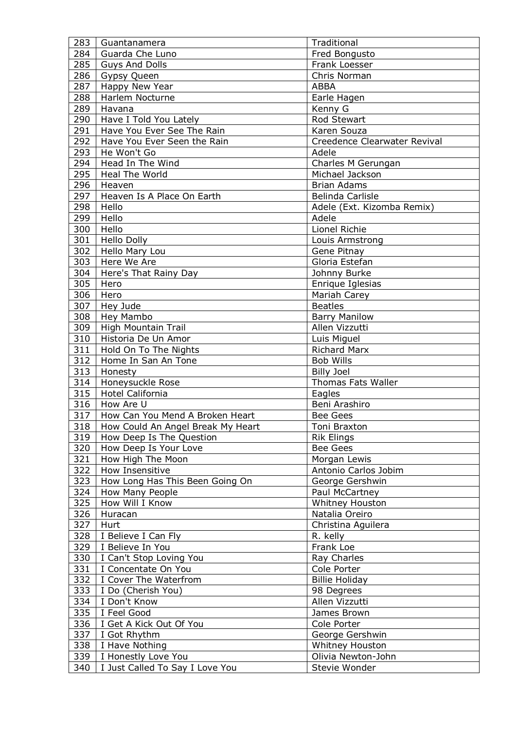| 283 | Guantanamera                      | Traditional                  |
|-----|-----------------------------------|------------------------------|
| 284 | Guarda Che Luno                   | Fred Bongusto                |
| 285 | <b>Guys And Dolls</b>             | Frank Loesser                |
| 286 | Gypsy Queen                       | Chris Norman                 |
| 287 | Happy New Year                    | <b>ABBA</b>                  |
| 288 | Harlem Nocturne                   | Earle Hagen                  |
| 289 | Havana                            | Kenny G                      |
| 290 | Have I Told You Lately            | Rod Stewart                  |
| 291 | Have You Ever See The Rain        | Karen Souza                  |
| 292 | Have You Ever Seen the Rain       | Creedence Clearwater Revival |
| 293 | He Won't Go                       | Adele                        |
| 294 | Head In The Wind                  | Charles M Gerungan           |
| 295 | <b>Heal The World</b>             | Michael Jackson              |
| 296 | Heaven                            | <b>Brian Adams</b>           |
| 297 | Heaven Is A Place On Earth        | Belinda Carlisle             |
| 298 | Hello                             | Adele (Ext. Kizomba Remix)   |
| 299 | Hello                             | Adele                        |
| 300 | Hello                             | Lionel Richie                |
| 301 | <b>Hello Dolly</b>                | Louis Armstrong              |
| 302 | Hello Mary Lou                    | Gene Pitnay                  |
| 303 | Here We Are                       | Gloria Estefan               |
| 304 | Here's That Rainy Day             | Johnny Burke                 |
| 305 | Hero                              | Enrique Iglesias             |
| 306 | Hero                              | Mariah Carey                 |
| 307 | Hey Jude                          | <b>Beatles</b>               |
| 308 |                                   |                              |
|     | Hey Mambo                         | <b>Barry Manilow</b>         |
| 309 | High Mountain Trail               | Allen Vizzutti               |
| 310 | Historia De Un Amor               | Luis Miguel                  |
| 311 | Hold On To The Nights             | <b>Richard Marx</b>          |
| 312 | Home In San An Tone               | <b>Bob Wills</b>             |
| 313 | Honesty                           | <b>Billy Joel</b>            |
| 314 | Honeysuckle Rose                  | <b>Thomas Fats Waller</b>    |
| 315 | Hotel California                  | Eagles                       |
| 316 | How Are U                         | Beni Arashiro                |
| 317 | How Can You Mend A Broken Heart   | <b>Bee Gees</b>              |
| 318 | How Could An Angel Break My Heart | Toni Braxton                 |
| 319 | How Deep Is The Question          | <b>Rik Elings</b>            |
| 320 | How Deep Is Your Love             | <b>Bee Gees</b>              |
| 321 | How High The Moon                 | Morgan Lewis                 |
| 322 | How Insensitive                   | Antonio Carlos Jobim         |
| 323 | How Long Has This Been Going On   | George Gershwin              |
| 324 | How Many People                   | Paul McCartney               |
| 325 | How Will I Know                   | Whitney Houston              |
| 326 | Huracan                           | Natalia Oreiro               |
| 327 | Hurt                              | Christina Aguilera           |
| 328 | I Believe I Can Fly               | R. kelly                     |
| 329 | I Believe In You                  | Frank Loe                    |
| 330 | I Can't Stop Loving You           | Ray Charles                  |
| 331 | I Concentate On You               | Cole Porter                  |
| 332 | I Cover The Waterfrom             | <b>Billie Holiday</b>        |
| 333 | I Do (Cherish You)                | 98 Degrees                   |
| 334 | I Don't Know                      | Allen Vizzutti               |
| 335 | I Feel Good                       | James Brown                  |
| 336 | I Get A Kick Out Of You           | Cole Porter                  |
| 337 | I Got Rhythm                      | George Gershwin              |
| 338 | I Have Nothing                    | Whitney Houston              |
| 339 | I Honestly Love You               | Olivia Newton-John           |
| 340 | I Just Called To Say I Love You   | Stevie Wonder                |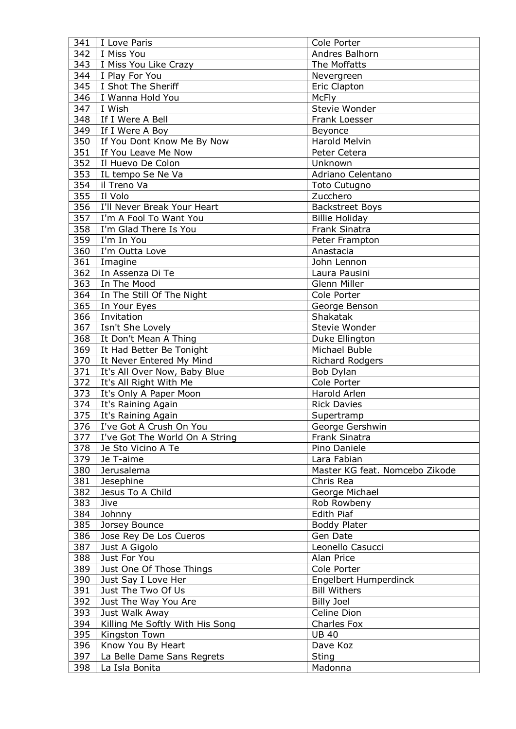| 341 | I Love Paris                    | Cole Porter                    |
|-----|---------------------------------|--------------------------------|
| 342 | I Miss You                      | Andres Balhorn                 |
| 343 | I Miss You Like Crazy           | The Moffatts                   |
| 344 | I Play For You                  | Nevergreen                     |
| 345 | I Shot The Sheriff              | Eric Clapton                   |
| 346 | I Wanna Hold You                | <b>McFly</b>                   |
| 347 | I Wish                          | Stevie Wonder                  |
| 348 | If I Were A Bell                | Frank Loesser                  |
| 349 | If I Were A Boy                 | Beyonce                        |
| 350 | If You Dont Know Me By Now      | <b>Harold Melvin</b>           |
| 351 | If You Leave Me Now             | Peter Cetera                   |
| 352 | Il Huevo De Colon               | Unknown                        |
| 353 | IL tempo Se Ne Va               | Adriano Celentano              |
| 354 | il Treno Va                     | <b>Toto Cutugno</b>            |
| 355 | Il Volo                         | Zucchero                       |
| 356 | I'll Never Break Your Heart     | <b>Backstreet Boys</b>         |
| 357 | I'm A Fool To Want You          | <b>Billie Holiday</b>          |
| 358 | I'm Glad There Is You           | Frank Sinatra                  |
| 359 | I'm In You                      | Peter Frampton                 |
| 360 | I'm Outta Love                  | Anastacia                      |
| 361 |                                 |                                |
|     | Imagine                         | John Lennon                    |
| 362 | In Assenza Di Te                | Laura Pausini<br>Glenn Miller  |
| 363 | In The Mood                     |                                |
| 364 | In The Still Of The Night       | Cole Porter                    |
| 365 | In Your Eyes                    | George Benson                  |
| 366 | Invitation                      | Shakatak                       |
| 367 | Isn't She Lovely                | Stevie Wonder                  |
| 368 | It Don't Mean A Thing           | Duke Ellington                 |
| 369 | It Had Better Be Tonight        | Michael Buble                  |
| 370 | It Never Entered My Mind        | Richard Rodgers                |
| 371 | It's All Over Now, Baby Blue    | Bob Dylan                      |
| 372 | It's All Right With Me          | Cole Porter                    |
| 373 | It's Only A Paper Moon          | Harold Arlen                   |
| 374 | It's Raining Again              | <b>Rick Davies</b>             |
| 375 | It's Raining Again              | Supertramp                     |
| 376 | I've Got A Crush On You         | George Gershwin                |
| 377 | I've Got The World On A String  | Frank Sinatra                  |
| 378 | Je Sto Vicino A Te              | Pino Daniele                   |
| 379 | Je T-aime                       | Lara Fabian                    |
| 380 | Jerusalema                      | Master KG feat. Nomcebo Zikode |
| 381 | Jesephine                       | Chris Rea                      |
| 382 | Jesus To A Child                | George Michael                 |
| 383 | Jive                            | Rob Rowbeny                    |
| 384 | Johnny                          | Edith Piaf                     |
| 385 | Jorsey Bounce                   | <b>Boddy Plater</b>            |
| 386 | Jose Rey De Los Cueros          | Gen Date                       |
| 387 | Just A Gigolo                   | Leonello Casucci               |
| 388 | Just For You                    | Alan Price                     |
| 389 | Just One Of Those Things        | Cole Porter                    |
| 390 | Just Say I Love Her             | Engelbert Humperdinck          |
| 391 | Just The Two Of Us              | <b>Bill Withers</b>            |
| 392 | Just The Way You Are            | <b>Billy Joel</b>              |
| 393 | Just Walk Away                  | Celine Dion                    |
| 394 | Killing Me Softly With His Song | Charles Fox                    |
| 395 | Kingston Town                   | <b>UB 40</b>                   |
| 396 | Know You By Heart               | Dave Koz                       |
| 397 | La Belle Dame Sans Regrets      | Sting                          |
| 398 | La Isla Bonita                  | Madonna                        |
|     |                                 |                                |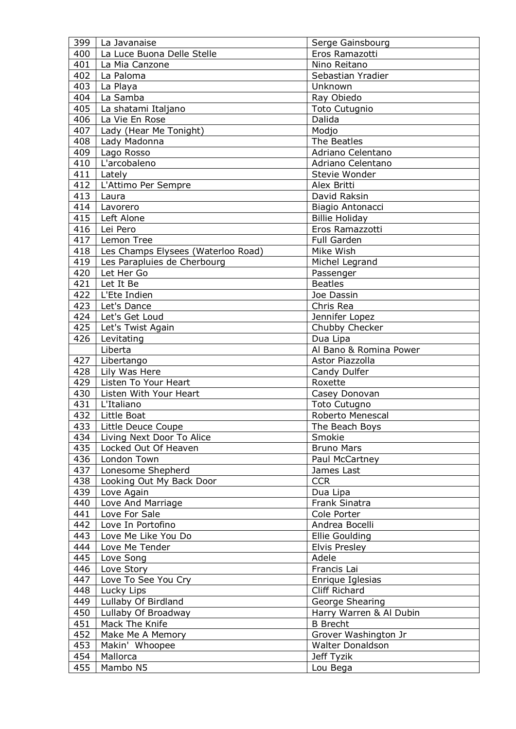| 399 | La Javanaise                       | Serge Gainsbourg        |
|-----|------------------------------------|-------------------------|
| 400 | La Luce Buona Delle Stelle         | Eros Ramazotti          |
| 401 | La Mia Canzone                     | Nino Reitano            |
| 402 | La Paloma                          | Sebastian Yradier       |
| 403 | La Playa                           | Unknown                 |
| 404 | La Samba                           | Ray Obiedo              |
| 405 | La shatami Italjano                | <b>Toto Cutugnio</b>    |
| 406 | La Vie En Rose                     | Dalida                  |
| 407 | Lady (Hear Me Tonight)             | Modjo                   |
| 408 | Lady Madonna                       | The Beatles             |
| 409 | Lago Rosso                         | Adriano Celentano       |
| 410 | L'arcobaleno                       | Adriano Celentano       |
| 411 | Lately                             | Stevie Wonder           |
| 412 | L'Attimo Per Sempre                | Alex Britti             |
| 413 | Laura                              | David Raksin            |
| 414 | Lavorero                           | Biagio Antonacci        |
| 415 | Left Alone                         | <b>Billie Holiday</b>   |
| 416 | Lei Pero                           | Eros Ramazzotti         |
| 417 | Lemon Tree                         | <b>Full Garden</b>      |
|     |                                    | Mike Wish               |
| 418 | Les Champs Elysees (Waterloo Road) |                         |
| 419 | Les Parapluies de Cherbourg        | Michel Legrand          |
| 420 | Let Her Go                         | Passenger               |
| 421 | Let It Be                          | <b>Beatles</b>          |
| 422 | L'Ete Indien                       | Joe Dassin              |
| 423 | Let's Dance                        | Chris Rea               |
| 424 | Let's Get Loud                     | Jennifer Lopez          |
| 425 | Let's Twist Again                  | Chubby Checker          |
| 426 | Levitating                         | Dua Lipa                |
|     | Liberta                            | Al Bano & Romina Power  |
| 427 | Libertango                         | Astor Piazzolla         |
| 428 | Lily Was Here                      | Candy Dulfer            |
| 429 | Listen To Your Heart               | Roxette                 |
| 430 | Listen With Your Heart             | Casey Donovan           |
| 431 | L'Italiano                         | <b>Toto Cutugno</b>     |
| 432 | Little Boat                        | Roberto Menescal        |
| 433 | Little Deuce Coupe                 | The Beach Boys          |
| 434 | Living Next Door To Alice          | Smokie                  |
| 435 | Locked Out Of Heaven               | <b>Bruno Mars</b>       |
| 436 | London Town                        | Paul McCartney          |
| 437 | Lonesome Shepherd                  | James Last              |
| 438 | Looking Out My Back Door           | <b>CCR</b>              |
| 439 | Love Again                         | Dua Lipa                |
| 440 | Love And Marriage                  | Frank Sinatra           |
| 441 | Love For Sale                      | Cole Porter             |
| 442 | Love In Portofino                  | Andrea Bocelli          |
| 443 | Love Me Like You Do                | <b>Ellie Goulding</b>   |
| 444 | Love Me Tender                     | Elvis Presley           |
| 445 | Love Song                          | Adele                   |
| 446 | Love Story                         | Francis Lai             |
| 447 | Love To See You Cry                | Enrique Iglesias        |
| 448 | Lucky Lips                         | Cliff Richard           |
| 449 | Lullaby Of Birdland                | George Shearing         |
| 450 |                                    |                         |
|     | Lullaby Of Broadway                | Harry Warren & Al Dubin |
| 451 | Mack The Knife                     | <b>B</b> Brecht         |
| 452 | Make Me A Memory                   | Grover Washington Jr    |
| 453 | Makin' Whoopee                     | <b>Walter Donaldson</b> |
| 454 | Mallorca                           | Jeff Tyzik              |
| 455 | Mambo N5                           | Lou Bega                |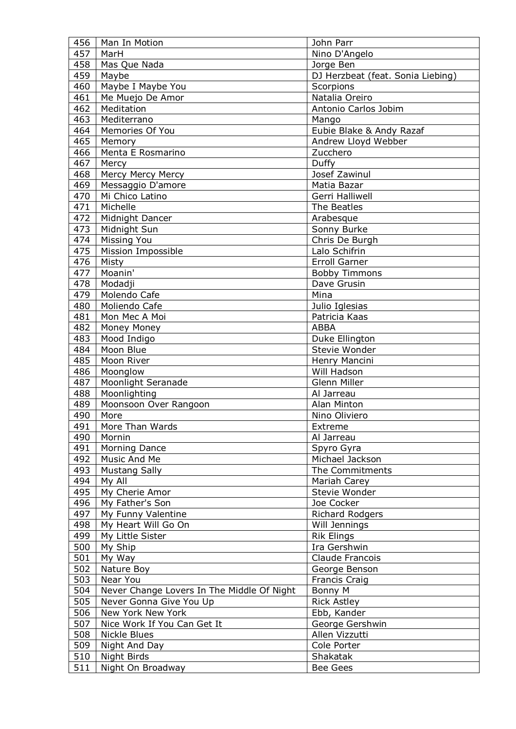| 456 | Man In Motion                              | John Parr                         |
|-----|--------------------------------------------|-----------------------------------|
| 457 | MarH                                       | Nino D'Angelo                     |
| 458 | Mas Que Nada                               | Jorge Ben                         |
| 459 | Maybe                                      | DJ Herzbeat (feat. Sonia Liebing) |
| 460 | Maybe I Maybe You                          | Scorpions                         |
| 461 | Me Muejo De Amor                           | Natalia Oreiro                    |
| 462 | Meditation                                 | Antonio Carlos Jobim              |
| 463 | Mediterrano                                | Mango                             |
| 464 | Memories Of You                            | Eubie Blake & Andy Razaf          |
| 465 | Memory                                     | Andrew Lloyd Webber               |
| 466 | Menta E Rosmarino                          | Zucchero                          |
| 467 | Mercy                                      | Duffy                             |
|     |                                            | Josef Zawinul                     |
| 468 | Mercy Mercy Mercy                          |                                   |
| 469 | Messaggio D'amore                          | Matia Bazar                       |
| 470 | Mi Chico Latino                            | Gerri Halliwell                   |
| 471 | Michelle                                   | The Beatles                       |
| 472 | Midnight Dancer                            | Arabesque                         |
| 473 | Midnight Sun                               | Sonny Burke                       |
| 474 | <b>Missing You</b>                         | Chris De Burgh                    |
| 475 | Mission Impossible                         | Lalo Schifrin                     |
| 476 | Misty                                      | Erroll Garner                     |
| 477 | Moanin'                                    | <b>Bobby Timmons</b>              |
| 478 | Modadji                                    | Dave Grusin                       |
| 479 | Molendo Cafe                               | Mina                              |
| 480 | Moliendo Cafe                              | Julio Iglesias                    |
| 481 | Mon Mec A Moi                              | Patricia Kaas                     |
| 482 | Money Money                                | <b>ABBA</b>                       |
| 483 | Mood Indigo                                | Duke Ellington                    |
| 484 | Moon Blue                                  | Stevie Wonder                     |
| 485 | Moon River                                 | Henry Mancini                     |
| 486 | Moonglow                                   | Will Hadson                       |
| 487 | Moonlight Seranade                         | Glenn Miller                      |
| 488 | Moonlighting                               | Al Jarreau                        |
| 489 | Moonsoon Over Rangoon                      | Alan Minton                       |
| 490 | More                                       | Nino Oliviero                     |
| 491 | More Than Wards                            | Extreme                           |
| 490 | Mornin                                     | Al Jarreau                        |
| 491 | Morning Dance                              | Spyro Gyra                        |
| 492 | Music And Me                               | Michael Jackson                   |
| 493 | Mustang Sally                              | The Commitments                   |
| 494 | My All                                     | Mariah Carey                      |
| 495 | My Cherie Amor                             | Stevie Wonder                     |
| 496 | My Father's Son                            | Joe Cocker                        |
| 497 | My Funny Valentine                         | Richard Rodgers                   |
| 498 | My Heart Will Go On                        | Will Jennings                     |
| 499 | My Little Sister                           | <b>Rik Elings</b>                 |
| 500 | My Ship                                    | Ira Gershwin                      |
| 501 | My Way                                     | Claude Francois                   |
| 502 | Nature Boy                                 | George Benson                     |
| 503 | Near You                                   | Francis Craig                     |
| 504 | Never Change Lovers In The Middle Of Night | Bonny M                           |
| 505 | Never Gonna Give You Up                    | <b>Rick Astley</b>                |
| 506 | New York New York                          | Ebb, Kander                       |
| 507 | Nice Work If You Can Get It                | George Gershwin                   |
| 508 | Nickle Blues                               | Allen Vizzutti                    |
| 509 | Night And Day                              | Cole Porter                       |
| 510 | Night Birds                                | Shakatak                          |
| 511 | Night On Broadway                          | Bee Gees                          |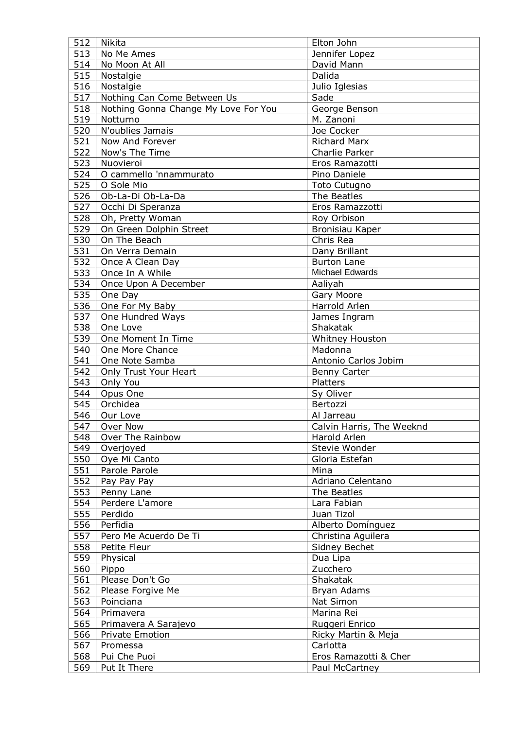| 512 | Nikita                               | Elton John                |
|-----|--------------------------------------|---------------------------|
| 513 | No Me Ames                           | Jennifer Lopez            |
| 514 | No Moon At All                       | David Mann                |
| 515 | Nostalgie                            | Dalida                    |
| 516 | Nostalgie                            | Julio Iglesias            |
| 517 | Nothing Can Come Between Us          | Sade                      |
| 518 | Nothing Gonna Change My Love For You | George Benson             |
| 519 | Notturno                             | M. Zanoni                 |
| 520 | N'oublies Jamais                     | Joe Cocker                |
|     |                                      |                           |
| 521 | Now And Forever                      | <b>Richard Marx</b>       |
| 522 | Now's The Time                       | Charlie Parker            |
| 523 | Nuovieroi                            | Eros Ramazotti            |
| 524 | O cammello 'nnammurato               | Pino Daniele              |
| 525 | O Sole Mio                           | <b>Toto Cutugno</b>       |
| 526 | Ob-La-Di Ob-La-Da                    | The Beatles               |
| 527 | Occhi Di Speranza                    | Eros Ramazzotti           |
| 528 | Oh, Pretty Woman                     | Roy Orbison               |
| 529 | On Green Dolphin Street              | Bronisiau Kaper           |
| 530 | On The Beach                         | Chris Rea                 |
| 531 | On Verra Demain                      | Dany Brillant             |
| 532 | Once A Clean Day                     | Burton Lane               |
| 533 | Once In A While                      | <b>Michael Edwards</b>    |
| 534 | Once Upon A December                 | Aaliyah                   |
| 535 | One Day                              | Gary Moore                |
| 536 | One For My Baby                      | Harrold Arlen             |
| 537 | One Hundred Ways                     | James Ingram              |
| 538 | One Love                             | Shakatak                  |
| 539 | One Moment In Time                   | Whitney Houston           |
| 540 | One More Chance                      | Madonna                   |
| 541 | One Note Samba                       | Antonio Carlos Jobim      |
| 542 |                                      |                           |
|     | Only Trust Your Heart<br>Only You    | Benny Carter              |
| 543 |                                      | Platters                  |
| 544 | Opus One                             | Sy Oliver                 |
| 545 | Orchidea                             | Bertozzi                  |
| 546 | Our Love                             | Al Jarreau                |
|     | 547 Over Now                         | Calvin Harris, The Weeknd |
| 548 | Over The Rainbow                     | Harold Arlen              |
| 549 | Overjoyed                            | Stevie Wonder             |
| 550 | Oye Mi Canto                         | Gloria Estefan            |
| 551 | Parole Parole                        | Mina                      |
| 552 | Pay Pay Pay                          | Adriano Celentano         |
| 553 | Penny Lane                           | The Beatles               |
| 554 | Perdere L'amore                      | Lara Fabian               |
| 555 | Perdido                              | Juan Tizol                |
| 556 | Perfidia                             | Alberto Domínguez         |
| 557 | Pero Me Acuerdo De Ti                | Christina Aguilera        |
| 558 | Petite Fleur                         | Sidney Bechet             |
| 559 | Physical                             | Dua Lipa                  |
| 560 | Pippo                                | Zucchero                  |
| 561 | Please Don't Go                      | Shakatak                  |
| 562 | Please Forgive Me                    | Bryan Adams               |
| 563 | Poinciana                            | Nat Simon                 |
| 564 | Primavera                            | Marina Rei                |
| 565 | Primavera A Sarajevo                 | Ruggeri Enrico            |
| 566 | <b>Private Emotion</b>               | Ricky Martin & Meja       |
| 567 | Promessa                             | Carlotta                  |
| 568 |                                      |                           |
|     | Pui Che Puoi                         | Eros Ramazotti & Cher     |
| 569 | Put It There                         | Paul McCartney            |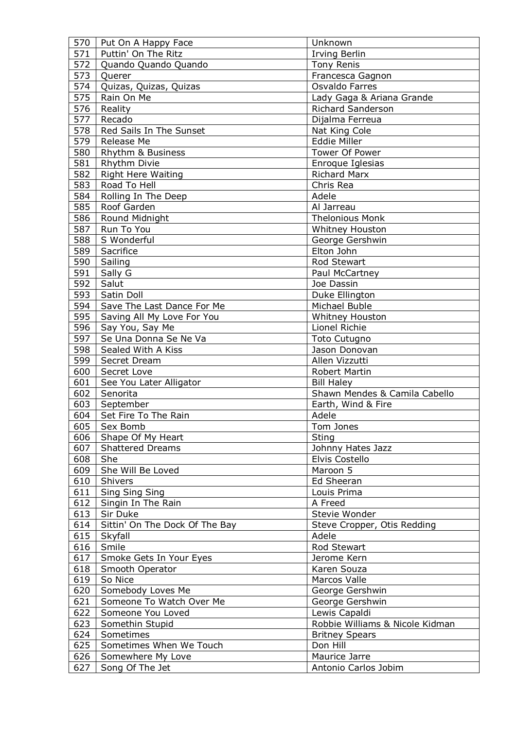| 570 | Put On A Happy Face            | Unknown                         |
|-----|--------------------------------|---------------------------------|
| 571 | Puttin' On The Ritz            | <b>Irving Berlin</b>            |
| 572 | Quando Quando Quando           | <b>Tony Renis</b>               |
| 573 | Querer                         | Francesca Gagnon                |
| 574 | Quizas, Quizas, Quizas         | Osvaldo Farres                  |
| 575 | Rain On Me                     | Lady Gaga & Ariana Grande       |
| 576 | Reality                        | <b>Richard Sanderson</b>        |
| 577 | Recado                         | Dijalma Ferreua                 |
| 578 |                                |                                 |
|     | Red Sails In The Sunset        | Nat King Cole                   |
| 579 | Release Me                     | Eddie Miller                    |
| 580 | Rhythm & Business              | Tower Of Power                  |
| 581 | Rhythm Divie                   | Enroque Iglesias                |
| 582 | <b>Right Here Waiting</b>      | <b>Richard Marx</b>             |
| 583 | Road To Hell                   | Chris Rea                       |
| 584 | Rolling In The Deep            | Adele                           |
| 585 | Roof Garden                    | Al Jarreau                      |
| 586 | Round Midnight                 | <b>Thelonious Monk</b>          |
| 587 | Run To You                     | Whitney Houston                 |
| 588 | S Wonderful                    | George Gershwin                 |
| 589 | Sacrifice                      | Elton John                      |
| 590 | Sailing                        | Rod Stewart                     |
| 591 | Sally G                        | Paul McCartney                  |
| 592 | Salut                          | Joe Dassin                      |
| 593 | Satin Doll                     | Duke Ellington                  |
|     |                                |                                 |
| 594 | Save The Last Dance For Me     | Michael Buble                   |
| 595 | Saving All My Love For You     | Whitney Houston                 |
| 596 | Say You, Say Me                | Lionel Richie                   |
| 597 | Se Una Donna Se Ne Va          | <b>Toto Cutugno</b>             |
| 598 | Sealed With A Kiss             | Jason Donovan                   |
| 599 | Secret Dream                   | Allen Vizzutti                  |
| 600 | Secret Love                    | Robert Martin                   |
| 601 | See You Later Alligator        | <b>Bill Haley</b>               |
| 602 | Senorita                       | Shawn Mendes & Camila Cabello   |
| 603 | September                      | Earth, Wind & Fire              |
| 604 | Set Fire To The Rain           | Adele                           |
|     | 605   Sex Bomb                 | Tom Jones                       |
| 606 | Shape Of My Heart              | Sting                           |
| 607 | <b>Shattered Dreams</b>        | Johnny Hates Jazz               |
| 608 | She                            | Elvis Costello                  |
| 609 | She Will Be Loved              | Maroon 5                        |
| 610 | Shivers                        | Ed Sheeran                      |
| 611 | Sing Sing Sing                 | Louis Prima                     |
| 612 | Singin In The Rain             | A Freed                         |
| 613 | Sir Duke                       | Stevie Wonder                   |
|     |                                |                                 |
| 614 | Sittin' On The Dock Of The Bay | Steve Cropper, Otis Redding     |
| 615 | Skyfall                        | Adele                           |
| 616 | Smile                          | Rod Stewart                     |
| 617 | Smoke Gets In Your Eyes        | Jerome Kern                     |
| 618 | Smooth Operator                | Karen Souza                     |
| 619 | So Nice                        | Marcos Valle                    |
| 620 | Somebody Loves Me              | George Gershwin                 |
| 621 | Someone To Watch Over Me       | George Gershwin                 |
| 622 | Someone You Loved              | Lewis Capaldi                   |
| 623 | Somethin Stupid                | Robbie Williams & Nicole Kidman |
| 624 | Sometimes                      | <b>Britney Spears</b>           |
| 625 | Sometimes When We Touch        | Don Hill                        |
| 626 | Somewhere My Love              | Maurice Jarre                   |
| 627 | Song Of The Jet                | Antonio Carlos Jobim            |
|     |                                |                                 |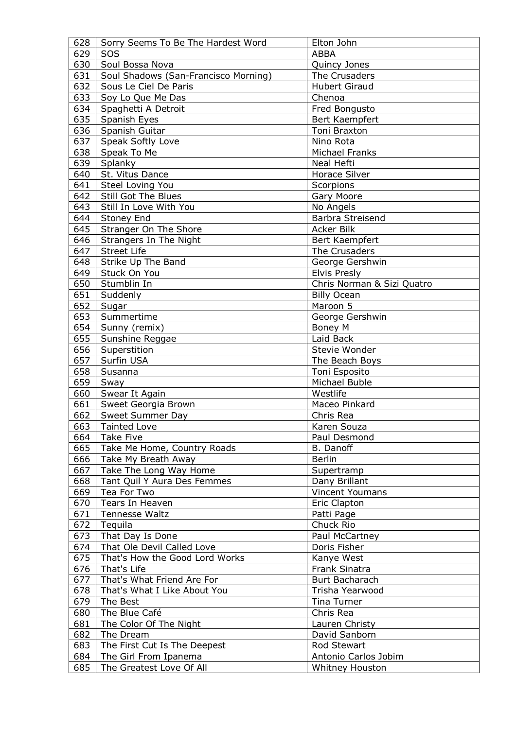| 628 | Sorry Seems To Be The Hardest Word   | Elton John                 |
|-----|--------------------------------------|----------------------------|
| 629 | SOS                                  | <b>ABBA</b>                |
| 630 | Soul Bossa Nova                      | Quincy Jones               |
| 631 | Soul Shadows (San-Francisco Morning) | The Crusaders              |
| 632 | Sous Le Ciel De Paris                | <b>Hubert Giraud</b>       |
| 633 | Soy Lo Que Me Das                    | Chenoa                     |
| 634 |                                      |                            |
|     | Spaghetti A Detroit                  | Fred Bongusto              |
| 635 | Spanish Eyes                         | Bert Kaempfert             |
| 636 | Spanish Guitar                       | Toni Braxton               |
| 637 | Speak Softly Love                    | Nino Rota                  |
| 638 | Speak To Me                          | Michael Franks             |
| 639 | Splanky                              | Neal Hefti                 |
| 640 | St. Vitus Dance                      | Horace Silver              |
| 641 | Steel Loving You                     | Scorpions                  |
| 642 | Still Got The Blues                  | Gary Moore                 |
| 643 | Still In Love With You               | No Angels                  |
| 644 | Stoney End                           | Barbra Streisend           |
| 645 | Stranger On The Shore                | Acker Bilk                 |
| 646 | Strangers In The Night               | Bert Kaempfert             |
| 647 | <b>Street Life</b>                   | The Crusaders              |
| 648 | Strike Up The Band                   | George Gershwin            |
| 649 | Stuck On You                         | <b>Elvis Presly</b>        |
| 650 | Stumblin In                          | Chris Norman & Sizi Quatro |
| 651 | Suddenly                             | <b>Billy Ocean</b>         |
| 652 | Sugar                                | Maroon 5                   |
| 653 | Summertime                           |                            |
|     |                                      | George Gershwin            |
| 654 | Sunny (remix)                        | Boney M                    |
| 655 | Sunshine Reggae                      | Laid Back                  |
| 656 | Superstition                         | Stevie Wonder              |
| 657 | Surfin USA                           | The Beach Boys             |
| 658 | Susanna                              | Toni Esposito              |
| 659 | Sway                                 | Michael Buble              |
| 660 | Swear It Again                       | Westlife                   |
| 661 | Sweet Georgia Brown                  | Maceo Pinkard              |
| 662 | Sweet Summer Day                     | Chris Rea                  |
| 663 | <b>Tainted Love</b>                  | Karen Souza                |
| 664 | <b>Take Five</b>                     | Paul Desmond               |
| 665 | Take Me Home, Country Roads          | <b>B.</b> Danoff           |
| 666 | Take My Breath Away                  | <b>Berlin</b>              |
| 667 | Take The Long Way Home               | Supertramp                 |
| 668 | Tant Quil Y Aura Des Femmes          | Dany Brillant              |
| 669 | Tea For Two                          | Vincent Youmans            |
| 670 | Tears In Heaven                      | Eric Clapton               |
| 671 | Tennesse Waltz                       | Patti Page                 |
| 672 | Tequila                              | Chuck Rio                  |
| 673 | That Day Is Done                     | Paul McCartney             |
| 674 | That Ole Devil Called Love           | Doris Fisher               |
|     |                                      |                            |
| 675 | That's How the Good Lord Works       | Kanye West                 |
| 676 | That's Life                          | Frank Sinatra              |
| 677 | That's What Friend Are For           | Burt Bacharach             |
| 678 | That's What I Like About You         | Trisha Yearwood            |
| 679 | The Best                             | Tina Turner                |
| 680 | The Blue Café                        | Chris Rea                  |
| 681 | The Color Of The Night               | Lauren Christy             |
| 682 | The Dream                            | David Sanborn              |
| 683 | The First Cut Is The Deepest         | Rod Stewart                |
| 684 | The Girl From Ipanema                | Antonio Carlos Jobim       |
| 685 | The Greatest Love Of All             | Whitney Houston            |
|     |                                      |                            |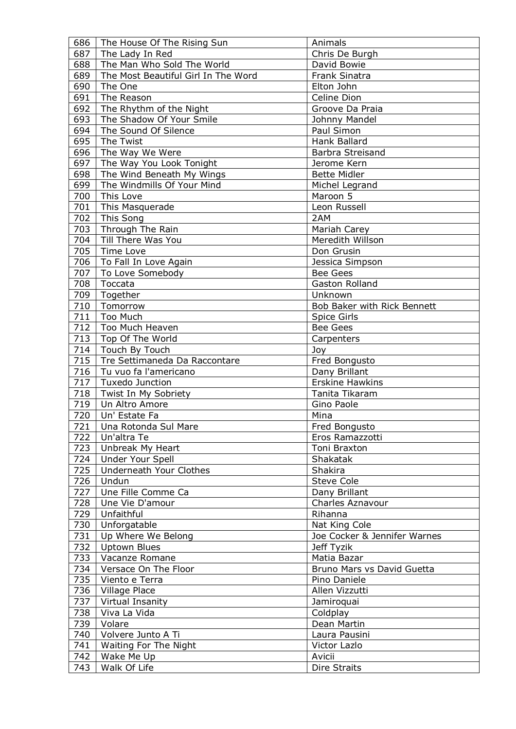| 686 | The House Of The Rising Sun         | Animals                      |
|-----|-------------------------------------|------------------------------|
| 687 | The Lady In Red                     | Chris De Burgh               |
| 688 | The Man Who Sold The World          | David Bowie                  |
| 689 | The Most Beautiful Girl In The Word | <b>Frank Sinatra</b>         |
| 690 | The One                             | Elton John                   |
| 691 | The Reason                          | Celine Dion                  |
| 692 | The Rhythm of the Night             | Groove Da Praia              |
| 693 | The Shadow Of Your Smile            | Johnny Mandel                |
|     |                                     |                              |
| 694 | The Sound Of Silence                | Paul Simon                   |
| 695 | The Twist                           | Hank Ballard                 |
| 696 | The Way We Were                     | <b>Barbra Streisand</b>      |
| 697 | The Way You Look Tonight            | Jerome Kern                  |
| 698 | The Wind Beneath My Wings           | <b>Bette Midler</b>          |
| 699 | The Windmills Of Your Mind          | Michel Legrand               |
| 700 | This Love                           | Maroon 5                     |
| 701 | This Masquerade                     | Leon Russell                 |
| 702 | This Song                           | 2AM                          |
| 703 | Through The Rain                    | Mariah Carey                 |
| 704 | Till There Was You                  | Meredith Willson             |
| 705 | Time Love                           | Don Grusin                   |
| 706 | To Fall In Love Again               | Jessica Simpson              |
| 707 | To Love Somebody                    | <b>Bee Gees</b>              |
| 708 | Toccata                             | Gaston Rolland               |
| 709 |                                     | Unknown                      |
|     | Together                            |                              |
| 710 | Tomorrow                            | Bob Baker with Rick Bennett  |
| 711 | Too Much                            | Spice Girls                  |
| 712 | Too Much Heaven                     | <b>Bee Gees</b>              |
| 713 | Top Of The World                    | Carpenters                   |
| 714 | Touch By Touch                      | Joy                          |
| 715 | Tre Settimaneda Da Raccontare       | Fred Bongusto                |
| 716 | Tu vuo fa l'americano               | Dany Brillant                |
| 717 | Tuxedo Junction                     | <b>Erskine Hawkins</b>       |
| 718 | Twist In My Sobriety                | Tanita Tikaram               |
| 719 | Un Altro Amore                      | Gino Paole                   |
| 720 | Un' Estate Fa                       | Mina                         |
|     | 721   Una Rotonda Sul Mare          | Fred Bongusto                |
| 722 | Un'altra Te                         | Eros Ramazzotti              |
| 723 | Unbreak My Heart                    | Toni Braxton                 |
| 724 | Under Your Spell                    | Shakatak                     |
| 725 | Underneath Your Clothes             | Shakira                      |
|     | Undun                               |                              |
| 726 |                                     | <b>Steve Cole</b>            |
| 727 | Une Fille Comme Ca                  | Dany Brillant                |
| 728 | Une Vie D'amour                     | Charles Aznavour             |
| 729 | Unfaithful                          | Rihanna                      |
| 730 | Unforgatable                        | Nat King Cole                |
| 731 | Up Where We Belong                  | Joe Cocker & Jennifer Warnes |
| 732 | <b>Uptown Blues</b>                 | Jeff Tyzik                   |
| 733 | Vacanze Romane                      | Matia Bazar                  |
| 734 | Versace On The Floor                | Bruno Mars vs David Guetta   |
| 735 | Viento e Terra                      | Pino Daniele                 |
| 736 | Village Place                       | Allen Vizzutti               |
| 737 | Virtual Insanity                    | Jamiroquai                   |
| 738 | Viva La Vida                        | Coldplay                     |
| 739 | Volare                              | Dean Martin                  |
| 740 | Volvere Junto A Ti                  | Laura Pausini                |
| 741 | Waiting For The Night               | Victor Lazlo                 |
|     | Wake Me Up                          | Avicii                       |
| 742 |                                     |                              |
| 743 | Walk Of Life                        | Dire Straits                 |